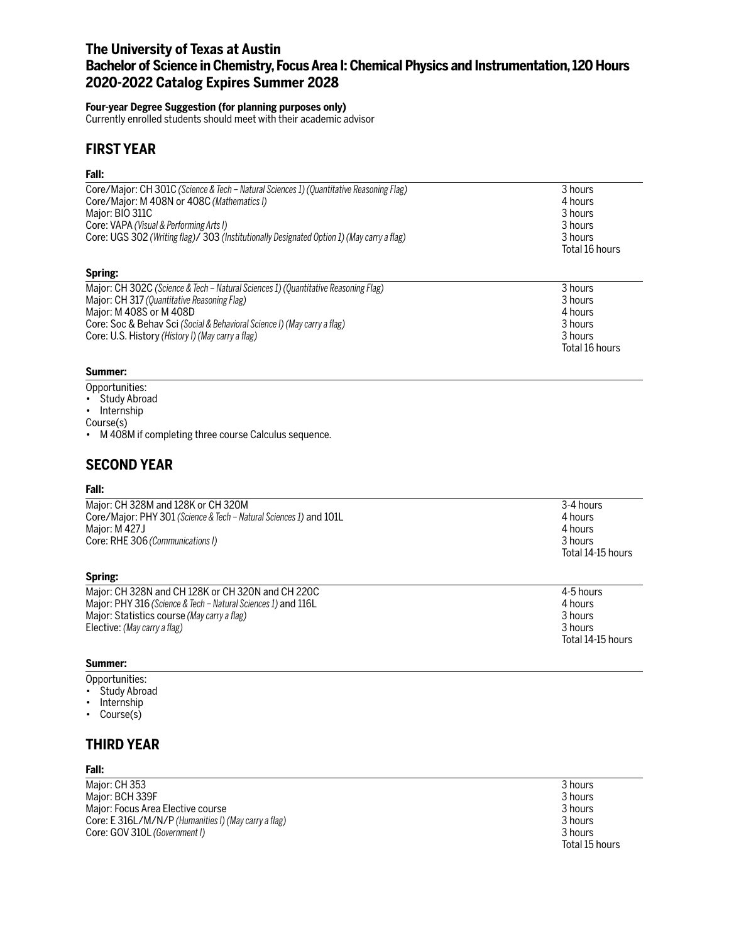## **The University of Texas at Austin Bachelor of Science in Chemistry, Focus Area I: Chemical Physics and Instrumentation, 120 Hours 2020-2022 Catalog Expires Summer 2028**

### **Four-year Degree Suggestion (for planning purposes only)**

Currently enrolled students should meet with their academic advisor

## **FIRST YEAR**

## **Fall:**

| Core/Major: CH 301C (Science & Tech – Natural Sciences 1) (Quantitative Reasoning Flag)<br>Core/Major: M 408N or 408C (Mathematics I)<br>Major: BIO 311C<br>Core: VAPA (Visual & Performing Arts I)<br>Core: UGS 302 (Writing flag)/ 303 (Institutionally Designated Option 1) (May carry a flag) | 3 hours<br>4 hours<br>3 hours<br>3 hours<br>3 hours<br>Total 16 hours |
|---------------------------------------------------------------------------------------------------------------------------------------------------------------------------------------------------------------------------------------------------------------------------------------------------|-----------------------------------------------------------------------|
| Spring:                                                                                                                                                                                                                                                                                           |                                                                       |
| Major: CH 302C (Science & Tech – Natural Sciences 1) (Quantitative Reasoning Flag)                                                                                                                                                                                                                | 3 hours                                                               |
| Major: CH 317 (Quantitative Reasoning Flag)                                                                                                                                                                                                                                                       | 3 hours                                                               |
| Major: M 408S or M 408D                                                                                                                                                                                                                                                                           | 4 hours                                                               |
| Core: Soc & Behav Sci (Social & Behavioral Science I) (May carry a flag)                                                                                                                                                                                                                          | 3 hours                                                               |
| Core: U.S. History (History I) (May carry a flag)                                                                                                                                                                                                                                                 | 3 hours                                                               |

#### **Summer:**

- Opportunities:
- Study Abroad
- Internship

Course(s)

• M 408M if completing three course Calculus sequence.

# **SECOND YEAR**

### **Fall:**

| Major: CH 328M and 128K or CH 320M                                 | 3-4 hours         |
|--------------------------------------------------------------------|-------------------|
| Core/Major: PHY 301 (Science & Tech – Natural Sciences 1) and 101L | 4 hours           |
| Major: M 427J                                                      | 4 hours           |
| Core: RHE 306 (Communications I)                                   | 3 hours           |
|                                                                    | Total 14-15 hours |
| Spring:                                                            |                   |
| Major: CH 328N and CH 128K or CH 320N and CH 220C                  | 4-5 hours         |
| Major: PHY 316 (Science & Tech - Natural Sciences 1) and 116L      | 4 hours           |
| Major: Statistics course (May carry a flag)                        | 3 hours           |
| Flective: (May carry a flag)                                       | 3 hours           |

#### **Summer:**

Opportunities:

• Study Abroad

Elective: *(May carry a flag)* 

- Internship
- Course(s)

## **THIRD YEAR**

#### **Fall:**

Major: CH 353 3 hours<br>
Major: BCH 339F 3 hours<br>
3 hours Major: BCH 339F 3 hours Major: Focus Area Elective course 3 hours<br>Core: E 316L/M/N/P (Humanities I) (May carry a flag) 3 hours 3 hours 3 hours 3 hours Core: E 316L/M/N/P (Humanities I) (May carry a flag) Core: GOV 310L *(Government I)* 3 hours

Total 15 hours

Total 14-15 hours

Total 16 hours